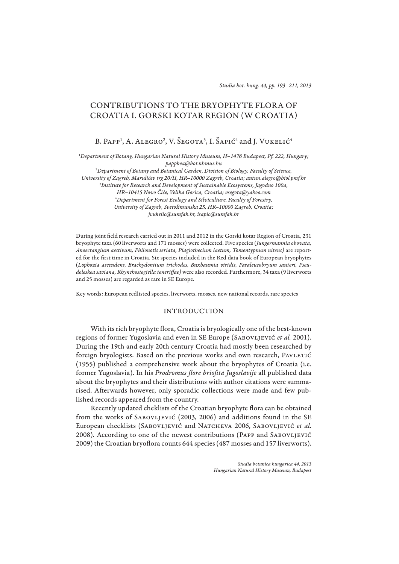# CONTRIBUTIONS TO THE BRYOPHYTE FLORA OF CROATIA I. GORSKI KOTAR REGION (W CROATIA)

B. Papp<sup>1</sup>, A. Alegro<sup>2</sup>, V. Šegota<sup>3</sup>, I. Šapić<sup>4</sup> and J. Vukelić<sup>4</sup>

1 *Department of Botany, Hungarian Natural History Museum, H–1476 Budapest, Pf. 222, Hungary; pappbea@bot.nhmus.hu*

2 *Department of Botany and Botanical Garden, Division of Biology, Faculty of Science, University of Zagreb, Marulićev trg 20/II, HR–10000 Zagreb, Croatia; antun.alegro@biol.pmf.hr* 3 *Institute for Research and Development of Sustainable Ecosystems, Jagodno 100a, HR–10415 Novo Čiče, Velika Gorica, Croatia; vsegota@yahoo.com* 4 *Department for Forest Ecology and Silviculture, Faculty of Forestry, University of Zagreb, Svetošimunska 25, HR–10000 Zagreb, Croatia; jvukelic@sumfak.hr, isapic@sumfak.hr*

During joint field research carried out in 2011 and 2012 in the Gorski kotar Region of Croatia, 231 bryophyte taxa (60 liverworts and 171 mosses) were collected. Five species (*Jungermannia obovata, Anoectangium aestivum, Philonotis seriata, Plagiothecium laetum, Tomentypnum nitens)* are reported for the first time in Croatia. Six species included in the Red data book of European bryophytes (*Lophozia ascendens, Brachy dontium trichodes, Buxbaumia viridis, Paraleucobryum sauteri, Pseudoleskea saviana, Rhynchostegiella teneriff ae)* were also recorded*.* Furthermore, 34 taxa (9 liverworts and 25 mosses) are regarded as rare in SE Europe.

Key words: European redlisted species, liverworts, mosses, new national records, rare species

## INTRODUCTION

With its rich bryophyte flora, Croatia is bryologically one of the best-known regions of former Yugoslavia and even in SE Europe (SABOVLJEVIĆ et al. 2001). During the 19th and early 20th century Croatia had mostly been researched by foreign bryologists. Based on the previous works and own research, PAVLETIĆ (1955) published a comprehensive work about the bryophytes of Croatia (i.e. former Yugoslavia). In his *Prodromus flore briofita Jugoslavije* all published data about the bryophytes and their distributions with author citations were summarised. Afterwards however, only sporadic collections were made and few published records appeared from the country.

Recently updated cheklists of the Croatian bryophyte flora can be obtained from the works of SABOVLJEVIĆ (2003, 2006) and additions found in the SE European checklists (Sabovljević and Natcheva 2006, Sabovljević *et al*. 2008). According to one of the newest contributions (PAPP and SABOVLJEVIĆ 2009) the Croatian bryoflora counts 644 species (487 mosses and 157 liverworts).

> *Studia botanica hungarica 44, 2013 Hungarian Natural History Museum, Budapest*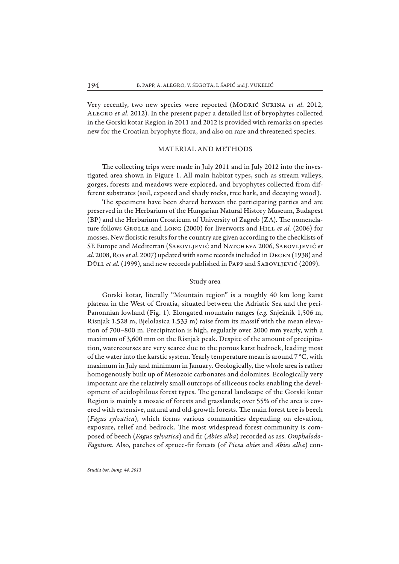Very recently, two new species were reported (Modrić Surina *et al*. 2012, Alegro *et al*. 2012). In the present paper a detailed list of bryophytes collected in the Gorski kotar Region in 2011 and 2012 is provided with remarks on species new for the Croatian bryophyte flora, and also on rare and threatened species.

## MATERIAL AND METHODS

The collecting trips were made in July 2011 and in July 2012 into the investigated area shown in Figure 1. All main habitat types, such as stream valleys, gorges, forests and meadows were explored, and bryophytes collected from different substrates (soil, exposed and shady rocks, tree bark, and decaying wood).

The specimens have been shared between the participating parties and are preserved in the Herbarium of the Hungarian Natural History Museum, Budapest  $(BP)$  and the Herbarium Croaticum of University of Zagreb (ZA). The nomenclature follows Grolle and Long (2000) for liverworts and Hill *et al*. (2006) for mosses. New floristic results for the country are given according to the checklists of SE Europe and Mediterran (Sabovljević and Natcheva 2006, Sabovljević *et al*. 2008, Ros *et al*. 2007) updated with some records included in Degen (1938) and Düll *et al.* (1999), and new records published in PAPP and SABOVLJEVIĆ (2009).

### Study area

Gorski kotar, literally "Mountain region" is a roughly 40 km long karst plateau in the West of Croatia, situated between the Adriatic Sea and the peri-Panonnian lowland (Fig. 1). Elongated mountain ranges (*e.g.* Snježnik 1,506 m, Risnjak 1,528 m, Bjelolasica 1,533 m) raise from its massif with the mean elevation of 700–800 m. Precipitation is high, regularly over 2000 mm yearly, with a maximum of 3,600 mm on the Risnjak peak. Despite of the amount of precipitation, watercourses are very scarce due to the porous karst bedrock, leading most of the water into the karstic system. Yearly temperature mean is around 7 °C, with maximum in July and minimum in January. Geologically, the whole area is rather homogenously built up of Mesozoic carbonates and dolomites. Ecologically very important are the relatively small outcrops of siliceous rocks enabling the development of acidophilous forest types. The general landscape of the Gorski kotar Region is mainly a mosaic of forests and grasslands; over 55% of the area is covered with extensive, natural and old-growth forests. The main forest tree is beech (*Fagus sylvatica*), which forms various communities depending on elevation, exposure, relief and bedrock. The most widespread forest community is composed of beech (Fagus sylvatica) and fir (Abies alba) recorded as ass. Omphalodo-*Fagetum*. Also, patches of spruce-fir forests (of *Picea abies* and *Abies alba*) con-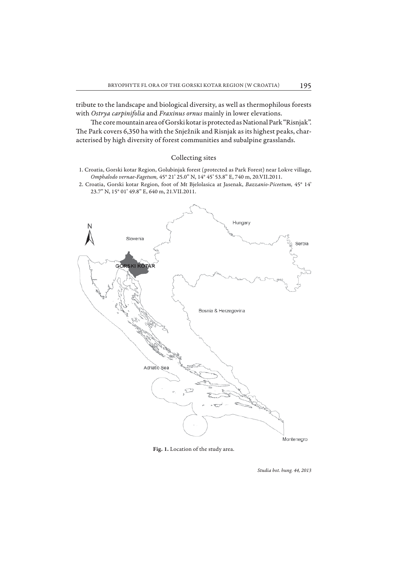tribute to the landscape and biological diversity, as well as thermophilous forests with *Ostrya carpinifolia* and *Fraxinus ornus* mainly in lower elevations.

The core mountain area of Gorski kotar is protected as National Park "Risnjak". The Park covers 6,350 ha with the Snježnik and Risnjak as its highest peaks, characterised by high diversity of forest communities and subalpine grasslands.

## Collecting sites

- 1. Croatia, Gorski kotar Region, Golubinjak forest (protected as Park Forest) near Lokve village, *Omphalodo vernae-Fagetum,* 45° 21' 25.0" N, 14° 45' 53.8" E, 740 m, 20.VII.2011.
- 2. Croatia, Gorski kotar Region, foot of Mt Bjelolasica at Jasenak, *Bazzanio*-*Piceetum,* 45° 14' 23.7" N, 15° 01' 49.8" E, 640 m, 21.VII.2011.



**Fig. 1.** Location of the study area.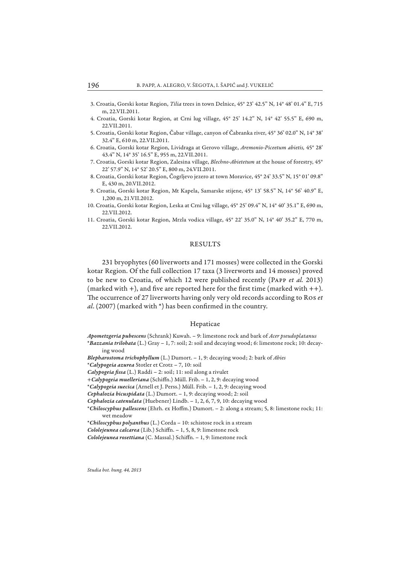- 3. Croatia, Gorski kotar Region, *Tilia* trees in town Delnice, 45° 23' 42.5" N, 14° 48' 01.4" E, 715 m, 22.VII.2011.
- 4. Croatia, Gorski kotar Region, at Crni lug village, 45° 25' 14.2" N, 14° 42' 55.5" E, 690 m, 22.VII.2011.
- 5. Croatia, Gorski kotar Region, Čabar village, canyon of Čabranka river, 45° 36' 02.0" N, 14° 38' 32.4" E, 610 m, 22.VII.2011.
- 6. Croatia, Gorski kotar Region, Lividraga at Gerovo village, *Aremonio-Piceetum abietis,* 45° 28' 43.4" N, 14° 35' 16.5" E, 955 m, 22.VII.2011.
- 7. Croatia, Gorski kotar Region, Zalesina village, *Blechno-Abietetum* at the house of forestry, 45° 22' 57.9" N, 14° 52' 20.5" E, 800 m, 24.VII.2011.
- 8. Croatia, Gorski kotar Region, Čogrljevo jezero at town Moravice, 45° 24' 33.5" N, 15° 01' 09.8" E, 430 m, 20.VII.2012.
- 9. Croatia, Gorski kotar Region, Mt Kapela, Samarske stijene, 45° 13' 58.5" N, 14° 56' 40.9" E, 1,200 m, 21.VII.2012.
- 10. Croatia, Gorski kotar Region, Leska at Crni lug village, 45° 25' 09.4" N, 14° 40' 35.1" E, 690 m, 22.VII.2012.
- 11. Croatia, Gorski kotar Region, Mrzla vodica village, 45° 22' 35.0" N, 14° 40' 35.2" E, 770 m, 22.VII.2012.

#### RESULTS

231 bryophytes (60 liverworts and 171 mosses) were collected in the Gorski kotar Region. Of the full collection 17 taxa (3 liverworts and 14 mosses) proved to be new to Croatia, of which 12 were published recently (Papp *et al.* 2013) (marked with  $+$ ), and five are reported here for the first time (marked with  $++$ ). The occurrence of 27 liverworts having only very old records according to Ros et *al.* (2007) (marked with \*) has been confirmed in the country.

#### Hepaticae

*Apometzgeria pubescens* (Schrank) Kuwah. – 9: limestone rock and bark of *Acer pseudoplatanus*

\**Bazzania trilobata* (L.) Gray – 1, 7: soil; 2: soil and decaying wood; 6: limestone rock; 10: decaying wood

*Blepharostoma trichophyllum* (L.) Dumort. – 1, 9: decaying wood; 2: bark of *Abies*

\**Calypogeia azurea* Stotler et Crotz – 7, 10: soil

Calypogeia fissa (L.) Raddi - 2: soil; 11: soil along a rivulet

+*Calypogeia muelleriana* (Schiffn.) Müll. Frib. - 1, 2, 9: decaying wood

\**Calypogeia suecica* (Arnell et J. Perss.) Müll. Frib. – 1, 2, 9: decaying wood

*Cephalozia bicuspidata* (L.) Dumort. – 1, 9: decaying wood; 2: soil

*Cephalozia catenulata* (Huebener) Lindb. – 1, 2, 6, 7, 9, 10: decaying wood

\**Chiloscyphus pallescens* (Ehrh. ex Hoffm.) Dumort. – 2: along a stream; 5, 8: limestone rock; 11: wet meadow

\**Chiloscyphus polyanthus* (L.) Corda – 10: schistose rock in a stream

*Cololejeunea calcarea* (Lib.) Schiffn. - 1, 5, 8, 9: limestone rock

*Cololejeunea rosettiana* (C. Massal.) Schiffn. - 1, 9: limestone rock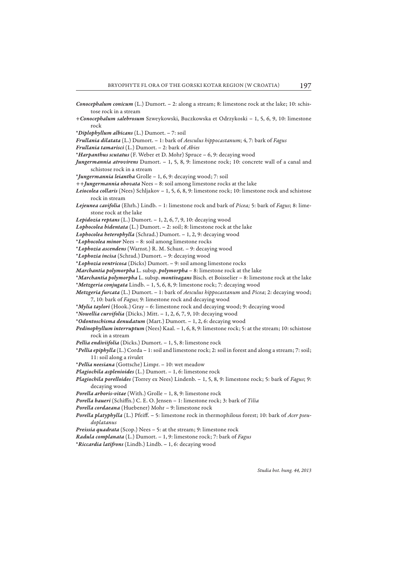*Conocephalum conicum* (L.) Dumort. – 2: along a stream; 8: limestone rock at the lake; 10: schis-

- tose rock in a stream +*Conocephalum salebrosum* Szweykowski, Buczkowska et Odrzykoski – 1, 5, 6, 9, 10: limestone rock \**Diplophyllum albicans* (L.) Dumort. – 7: soil *Frullania dilatata* (L.) Dumort. – 1: bark of *Aesculus hippocastanum*; 4, 7: bark of *Fagus Frullania tamarisci* (L.) Dumort. – 2: bark of *Abies* \**Harpanthus scutatus* (F. Weber et D. Mohr) Spruce – 6, 9: decaying wood *Jungermannia atrovirens* Dumort. – 1, 5, 8, 9: limestone rock; 10: concrete wall of a canal and schistose rock in a stream \**Jungermannia leiantha* Grolle – 1, 6, 9: decaying wood; 7: soil *++Jungermannia obovata* Nees – 8: soil among limestone rocks at the lake *Leiocolea collaris* (Nees) Schljakov – 1, 5, 6, 8, 9: limestone rock; 10: limestone rock and schistose
- *Lejeunea cavifolia* (Ehrh.) Lindb. 1: limestone rock and bark of *Picea;* 5: bark of *Fagus*; 8: limestone rock at the lake

*Lepidozia reptans* (L.) Dumort. – 1, 2, 6, 7, 9, 10: decaying wood

- *Lophocolea bidentata* (L.) Dumort. 2: soil; 8: limestone rock at the lake
- *Lophocolea heterophylla* (Schrad.) Dumort. 1, 2, 9: decaying wood
- \**Lophocolea minor* Nees 8: soil among limestone rocks

rock in stream

- \**Lophozia ascendens* (Warnst.) R. M. Schust. 9: decaying wood
- \**Lophozia incisa* (Schrad.) Dumort. 9: decaying wood
- \**Lophozia ventricosa* (Dicks) Dumort. 9: soil among limestone rocks
- *Marchantia polymorpha* L. subsp. *polymorpha* 8: limestone rock at the lake
- \**Marchantia polymorpha* L. subsp. *montivagans* Bisch. et Boisselier 8: limestone rock at the lake \**Metzgeria conjugata* Lindb. – 1, 5, 6, 8, 9: limestone rock; 7: decaying wood

- *Metzgeria furcata* (L.) Dumort. 1: bark of *Aesculus hippocastanum* and *Picea*; 2: decaying wood; 7, 10: bark of *Fagus*; 9: limestone rock and decaying wood
- \**Mylia taylori* (Hook.) Gray 6: limestone rock and decaying wood; 9: decaying wood
- \**Nowellia curvifolia* (Dicks.) Mitt. 1, 2, 6, 7, 9, 10: decaying wood
- \**Odontoschisma denudatum* (Mart.) Dumort. 1, 2, 6: decaying wood
- *Pedinophyllum interruptum* (Nees) Kaal. 1, 6, 8, 9: limestone rock; 5: at the stream; 10: schistose rock in a stream
- *Pellia endiviifolia* (Dicks.) Dumort. 1, 5, 8: limestone rock
- \**Pellia epiphylla* (L.) Corda 1: soil and limestone rock; 2: soil in forest and along a stream; 7: soil; 11: soil along a rivulet
- \**Pellia neesiana* (Gottsche) Limpr. 10: wet meadow
- *Plagiochila asplenioides* (L.) Dumort. 1, 6: limestone rock
- *Plagiochila porelloides* (Torrey ex Nees) Lindenb. 1, 5, 8, 9: limestone rock; 5: bark of *Fagus*; 9: decaying wood
- *Porella arboris-vitae* (With.) Grolle 1, 8, 9: limestone rock
- Porella baueri (Schiffn.) C. E. O. Jensen 1: limestone rock; 3: bark of *Tilia*
- *Porella cordaeana* (Huebener) Mohr 9: limestone rock
- *Porella platyphylla* (L.) Pfeiff . 5: limestone rock in thermophilous forest; 10: bark of *Acer pseudoplatanus*
- *Preissia quadrata* (Scop.) Nees 5: at the stream; 9: limestone rock
- *Radula complanata* (L.) Dumort. 1, 9: limestone rock; 7: bark of *Fagus*
- \**Riccardia latifrons* (Lindb.) Lindb. 1, 6: decaying wood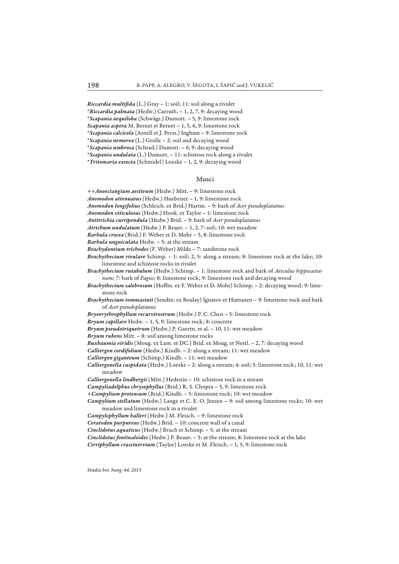*Riccardia multifida* (L.) Gray - 1: soil; 11: soil along a rivulet

\**Riccardia palmata* (Hedw.) Carruth. – 1, 2, 7, 9: decaying wood

\**Scapania aequiloba* (Schwägr.) Dumort. – 5, 9: limestone rock *Scapania aspera* M. Bernet et Bernet – 1, 5, 6, 9: limestone rock

\**Scapania calcicola* (Arnell et J. Perss.) Ingham – 9: limestone rock

\**Scapania nemorea* (L.) Grolle – 2: soil and decaying wood

\**Scapania umbrosa* (Schrad.) Dumort. – 6, 9: decaying wood

\**Scapania undulata* (L.) Dumort. – 11: schistose rock along a rivulet

\**Tritomaria exsecta* (Schmidel) Loeske – 1, 2, 9: decaying wood

#### Musci

++*Anoectangium aestivum* (Hedw.) Mitt. – 9: limestone rock

*Anomodon attenuatus* (Hedw.) Huebener – 1, 9: limestone rock

*Anomodon longifolius* (Schleich. ex Brid.) Hartm. – 9: bark of *Acer pseudoplatanus*

*Anomodon viticulosus* (Hedw.) Hook. et Taylor – 1: limestone rock

*Antitrichia curtipendula* (Hedw.) Brid. – 9: bark of *Acer pseudoplatanus*

*Atrichum undulatum* (Hedw.) P. Beauv. – 1, 2, 7: soil; 10: wet meadow

*Barbula crocea* (Brid.) F. Weber et D. Mohr – 5, 8: limestone rock

*Barbula unguiculata* Hedw. – 5: at the stream

*Brachydontium trichodes* (F. Weber) Milde – 7: sandstone rock

*Brachythecium rivulare* Schimp. – 1: soil; 2, 5: along a stream; 8: limestone rock at the lake; 10: limestone and schistose rocks in rivulet

*Brachythecium rutabulum* (Hedw.) Schimp. – 1: limestone rock and bark of *Aesculus hippocastanum;* 7: bark of *Fagus;* 8: limestone rock; 9: limestone rock and decaying wood

*Brachythecium salebrosum* (Hoffm. ex F. Weber et D. Mohr) Schimp. - 2: decaying wood; 9: limestone rock

*Brachythecium tommasinii* (Sendtn. ex Boulay) Ignatov et Huttunen – 9: limestone rock and bark of *Acer pseudoplatanus*

*Bryoerythrophyllum recurvirostrum* (Hedw.) P. C. Chen – 5: limestone rock

*Bryum capillare* Hedw. – 1, 5, 9: limestone rock; 8: concrete

*Bryum pseudotriquetrum* (Hedw.) P. Gaertn. et al. – 10, 11: wet meadow

*Bryum rubens* Mitt. – 8: soil among limestone rocks

*Buxbaumia viridis* (Moug. ex Lam. et DC.) Brid. ex Moug. et Nestl. – 2, 7: decaying wood

*Calliergon cordifolium* (Hedw.) Kindb. – 2: along a stream; 11: wet meadow

*Calliergon giganteum* (Schimp.) Kindb. – 11: wet meadow

*Calliergonella cuspidata* (Hedw.) Loeske – 2: along a stream; 4: soil; 5: limestone rock; 10, 11: wet meadow

*Calliergonella lindbergii* (Mitt.) Hedenäs – 10: schistose rock in a stream

*Campyliadelphus chrysophyllus* (Brid.) R. S. Chopra – 5, 9: limestone rock

*+Campylium protensum* (Brid.) Kindb. – 5: limestone rock; 10: wet meadow

*Campylium stellatum* (Hedw.) Lange et C. E. O. Jensen – 9: soil among limestone rocks; 10: wet meadow and limestone rock in a rivulet

*Campylophyllum halleri* (Hedw.) M. Fleisch. – 9: limestone rock

*Ceratodon purpureus* (Hedw.) Brid. – 10: concrete wall of a canal

*Cinclidotus aquaticus* (Hedw.) Bruch et Schimp. – 5: at the stream

*Cinclidotus fontinaloides* (Hedw.) P. Beauv. – 5: at the stream; 8: limestone rock at the lake

*Cirriphyllum crassinervium* (Taylor) Loeske et M. Fleisch. – 1, 5, 9: limestone rock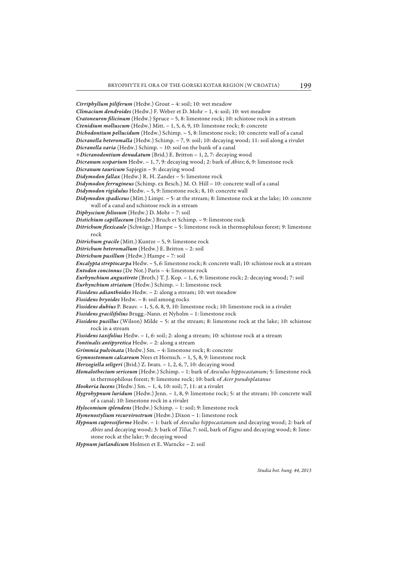*Cirriphyllum piliferum* (Hedw.) Grout – 4: soil; 10: wet meadow *Climacium dendroides* (Hedw.) F. Weber et D. Mohr – 1, 4: soil; 10: wet meadow *Cratoneuron filicinum* (Hedw.) Spruce - 5, 8: limestone rock; 10: schistose rock in a stream *Ctenidium molluscum* (Hedw.) Mitt. – 1, 5, 6, 9, 10: limestone rock; 8: concrete *Dichodontium pellucidum* (Hedw.) Schimp. – 5, 8: limestone rock; 10: concrete wall of a canal *Dicranella heteromalla* (Hedw.) Schimp. – 7, 9: soil; 10: decaying wood; 11: soil along a rivulet *Dicranella varia* (Hedw.) Schimp. – 10: soil on the bank of a canal *+Dicranodontium denudatum* (Brid.) E. Britton – 1, 2, 7: decaying wood *Dicranum scoparium* Hedw. – 1, 7, 9: decaying wood; 2: bark of *Abies*; 6, 9: limestone rock *Dicranum tauricum* Sapjegin – 9: decaying wood *Didymodon fallax* (Hedw.) R. H. Zander – 5: limestone rock *Didymodon ferrugineus* (Schimp. ex Besch.) M. O. Hill – 10: concrete wall of a canal *Didymodon rigidulus* Hedw. – 5, 9: limestone rock; 8, 10: concrete wall *Didymodon spadiceus* (Mitt.) Limpr. – 5: at the stream; 8: limestone rock at the lake; 10: concrete wall of a canal and schistose rock in a stream *Diphyscium foliosum* (Hedw.) D. Mohr – 7: soil *Distichium capillaceum* (Hedw.) Bruch et Schimp. – 9: limestone rock *Ditrichum flexicaule* (Schwägr.) Hampe – 5: limestone rock in thermophilous forest; 9: limestone rock *Ditrichum gracile* (Mitt.) Kuntze – 5, 9: limestone rock *Ditrichum heteromallum* (Hedw.) E. Britton – 2: soil *Ditrichum pusillum* (Hedw.) Hampe – 7: soil *Encalypta streptocarpa* Hedw. – 5, 6: limestone rock; 8: concrete wall; 10: schistose rock at a stream *Entodon concinnus* (De Not.) Paris – 4: limestone rock *Eurhynchium angustirete* (Broth.) T. J. Kop. – 1, 6, 9: limestone rock; 2: decaying wood; 7: soil *Eurhynchium striatum* (Hedw.) Schimp. – 1: limestone rock *Fissidens adianthoides* Hedw. – 2: along a stream; 10: wet meadow *Fissidens bryoides* Hedw. – 8: soil among rocks *Fissidens dubius* P. Beauv. – 1, 5, 6, 8, 9, 10: limestone rock; 10: limestone rock in a rivulet *Fissidens gracilifolius* Brugg.-Nann. et Nyholm – 1: limestone rock *Fissidens pusillus* (Wilson) Milde – 5: at the stream; 8: limestone rock at the lake; 10: schistose rock in a stream *Fissidens taxifolius* Hedw. – 1, 6: soil; 2: along a stream; 10: schistose rock at a stream *Fontinalis antipyretica* Hedw. – 2: along a stream *Grimmia pulvinata* (Hedw.) Sm. – 4: limestone rock; 8: concrete *Gymnostomum calcareum* Nees et Hornsch. – 1, 5, 8, 9: limestone rock *Herzogiella seligeri* (Brid.) Z. Iwats. – 1, 2, 6, 7, 10: decaying wood *Homalothecium sericeum* (Hedw.) Schimp. – 1: bark of *Aesculus hippocastanum;* 5: limestone rock in thermophilous forest; 9: limestone rock; 10: bark of *Acer pseudoplatanus Hookeria lucens* (Hedw.) Sm. – 1, 4, 10: soil; 7, 11: at a rivulet *Hygrohypnum luridum* (Hedw.) Jenn. – 1, 8, 9: limestone rock; 5: at the stream; 10: concrete wall of a canal; 10: limestone rock in a rivulet *Hylocomium splendens* (Hedw.) Schimp. – 1: soil; 9: limestone rock *Hymenostylium recurvirostrum* (Hedw.) Dixon – 1: limestone rock *Hypnum cupressiforme* Hedw. – 1: bark of *Aesculus hippocastanum* and decaying wood; 2: bark of *Abies* and decaying wood; 3: bark of *Tilia*; 7: soil, bark of *Fagus* and decaying wood; 8: limestone rock at the lake; 9: decaying wood *Hypnum jutlandicum* Holmen et E. Warncke – 2: soil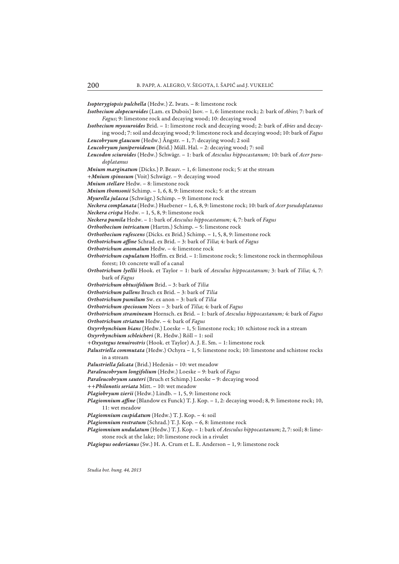*Isopterygiopsis pulchella* (Hedw.) Z. Iwats. – 8: limestone rock

- *Isothecium alopecuroides* (Lam. ex Dubois) Isov. 1, 6: limestone rock; 2: bark of *Abies*; 7: bark of *Fagus*; 9: limestone rock and decaying wood; 10: decaying wood
- *Isothecium myosuroides* Brid. 1: limestone rock and decaying wood; 2: bark of *Abies* and decaying wood; 7: soil and decaying wood; 9: limestone rock and decaying wood; 10: bark of *Fagus*
- *Leucobryum glaucum* (Hedw.) Ångstr. 1, 7: decaying wood; 2 soil
- *Leucobryum juniperoideum* (Brid.) Müll. Hal. 2: decaying wood; 7: soil
- *Leucodon sciuroides* (Hedw.) Schwägr. 1: bark of *Aesculus hippocastanum;* 10: bark of *Acer pseudoplatanus*
- *Mnium marginatum* (Dicks.) P. Beauv. 1, 6: limestone rock; 5: at the stream
- *+Mnium spinosum* (Voit) Schwägr. 9: decaying wood
- *Mnium stellare* Hedw. 8: limestone rock
- *Mnium thomsonii* Schimp. 1, 6, 8, 9: limestone rock; 5: at the stream
- *Myurella julacea* (Schwägr.) Schimp. 9: limestone rock
- *Neckera complanata* (Hedw.) Huebener 1, 6, 8, 9: limestone rock; 10: bark of *Acer pseudoplatanus Neckera crispa* Hedw. – 1, 5, 8, 9: limestone rock
- *Neckera pumila* Hedw. 1: bark of *Aesculus hippocastanum;* 4, 7: bark of *Fagus*
- *Orthothecium intricatum* (Hartm.) Schimp. 5: limestone rock
- *Orthothecium rufescens* (Dicks. ex Brid.) Schimp. 1, 5, 8, 9: limestone rock
- Orthotrichum affine Schrad. ex Brid. 3: bark of *Tilia*; 4: bark of *Fagus*
- *Orthotrichum anomalum* Hedw. 4: limestone rock
- Orthotrichum cupulatum Hoffm. ex Brid. 1: limestone rock; 5: limestone rock in thermophilous forest; 10: concrete wall of a canal
- *Orthotrichum lyellii* Hook. et Taylor 1: bark of *Aesculus hippocastanum;* 3: bark of *Tilia*; 4, 7: bark of *Fagus*
- *Orthotrichum obtusifolium* Brid. 3: bark of *Tilia*
- *Orthotrichum pallens* Bruch ex Brid. 3: bark of *Tilia*
- *Orthotrichum pumilum* Sw. ex anon 3: bark of *Tilia*
- *Orthotrichum speciosum* Nees 3: bark of *Tilia*; 4: bark of *Fagus*
- *Orthotrichum stramineum* Hornsch. ex Brid. 1: bark of *Aesculus hippocastanum;* 4: bark of *Fagus*
- *Orthotrichum striatum* Hedw. 4: bark of *Fagus*
- *Oxyrrhynchium hians* (Hedw.) Loeske 1, 5: limestone rock; 10: schistose rock in a stream
- *Oxyrrhynchium schleicheri* (R. Hedw.) Röll 1: soil
- *+Oxystegus tenuirostris* (Hook. et Taylor) A. J. E. Sm. 1: limestone rock
- *Palustriella commutata* (Hedw.) Ochyra 1, 5: limestone rock; 10: limestone and schistose rocks in a stream
- *Palustriella falcata* (Brid.) Hedenäs 10: wet meadow
- *Paraleucobryum longifolium* (Hedw.) Loeske 9: bark of *Fagus*
- *Paraleucobryum sauteri* (Bruch et Schimp.) Loeske 9: decaying wood
- *++Philonotis seriata* Mitt. 10: wet meadow
- *Plagiobryum zierii* (Hedw.) Lindb. 1, 5, 9: limestone rock
- *Plagiomnium affine* (Blandow ex Funck) T. J. Kop. 1, 2: decaying wood; 8, 9: limestone rock; 10, 11: wet meadow
- *Plagiomnium cuspidatum* (Hedw.) T. J. Kop. 4: soil
- *Plagiomnium rostratum* (Schrad.) T. J. Kop. 6, 8: limestone rock
- *Plagiomnium undulatum* (Hedw.) T. J. Kop. 1: bark of *Aesculus hippocastanum*; 2, 7: soil; 8: limestone rock at the lake; 10: limestone rock in a rivulet
- *Plagiopus oederianus* (Sw.) H. A. Crum et L. E. Anderson 1, 9: limestone rock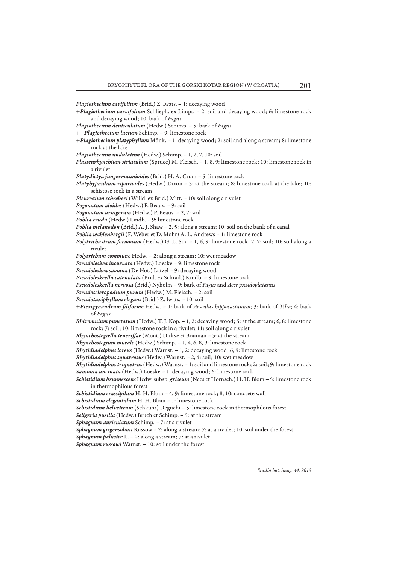*Plagiothecium cavifolium* (Brid.) Z. Iwats. – 1: decaying wood

- *+Plagiothecium curvifolium* Schlieph. ex Limpr. 2: soil and decaying wood; 6: limestone rock and decaying wood; 10: bark of *Fagus*
- *Plagiothecium denticulatum* (Hedw.) Schimp. 5: bark of *Fagus*
- *++Plagiothecium laetum* Schimp. 9: limestone rock
- *+Plagiothecium platyphyllum* Mönk. 1: decaying wood; 2: soil and along a stream; 8: limestone rock at the lake
- *Plagiothecium undulatum* (Hedw.) Schimp. 1, 2, 7, 10: soil
- *Plasteurhynchium striatulum* (Spruce) M. Fleisch. 1, 8, 9: limestone rock; 10: limestone rock in a rivulet
- *Platydictya jungermannioides* (Brid.) H. A. Crum 5: limestone rock
- *Platyhypnidium riparioides* (Hedw.) Dixon 5: at the stream; 8: limestone rock at the lake; 10: schistose rock in a stream
- *Pleurozium schreberi* (Willd. ex Brid.) Mitt. 10: soil along a rivulet
- *Pogonatum aloides* (Hedw.) P. Beauv. 9: soil
- *Pogonatum urnigerum* (Hedw.) P. Beauv. 2, 7: soil
- *Pohlia cruda* (Hedw.) Lindb. 9: limestone rock
- *Pohlia melanodon* (Brid.) A. J. Shaw 2, 5: along a stream; 10: soil on the bank of a canal
- *Pohlia wahlenbergii* (F. Weber et D. Mohr) A. L. Andrews 1: limestone rock
- *Polytrichastrum formosum* (Hedw.) G. L. Sm. 1, 6, 9: limestone rock; 2, 7: soil; 10: soil along a rivulet
- *Polytrichum commune* Hedw. 2: along a stream; 10: wet meadow
- *Pseudoleskea incurvata* (Hedw.) Loeske 9: limestone rock
- *Pseudoleskea saviana* (De Not.) Latzel 9: decaying wood
- *Pseudoleskeella catenulata* (Brid. ex Schrad.) Kindb. 9: limestone rock
- *Pseudoleskeella nervosa* (Brid.) Nyholm 9: bark of *Fagus* and *Acer pseudoplatanus*
- *Pseudoscleropodium purum* (Hedw.) M. Fleisch. 2: soil
- *Pseudotaxiphyllum elegans* (Brid.) Z. Iwats. 10: soil
- *+Pterigynandrum fi liforme* Hedw. 1: bark of *Aesculus hippocastanum*; 3: bark of *Tilia*; 4: bark of *Fagus*
- *Rhizomnium punctatum* (Hedw.) T. J. Kop. 1, 2: decaying wood; 5: at the stream; 6, 8: limestone rock; 7: soil; 10: limestone rock in a rivulet; 11: soil along a rivulet
- *Rhynchostegiella teneriffae* (Mont.) Dirkse et Bouman 5: at the stream
- *Rhynchostegium murale* (Hedw.) Schimp. 1, 4, 6, 8, 9: limestone rock
- *Rhytidiadelphus loreus* (Hedw.) Warnst. 1, 2: decaying wood; 6, 9: limestone rock
- *Rhytidiadelphus squarrosus* (Hedw.) Warnst. 2, 4: soil; 10: wet meadow
- *Rhytidiadelphus triquetrus* (Hedw.) Warnst. 1: soil and limestone rock; 2: soil; 9: limestone rock *Sanionia uncinata* (Hedw.) Loeske – 1: decaying wood; 6: limestone rock
- *Schistidium brunnescens* Hedw. subsp. *griseum* (Nees et Hornsch.) H. H. Blom 5: limestone rock in thermophilous forest
- *Schistidium crassipilum* H. H. Blom 4, 9: limestone rock; 8, 10: concrete wall
- *Schistidium elegantulum* H. H. Blom 1: limestone rock
- *Schistidium helveticum* (Schkuhr) Deguchi 5: limestone rock in thermophilous forest
- *Seligeria pusilla* (Hedw.) Bruch et Schimp. 5: at the stream
- *Sphagnum auriculatum* Schimp. 7: at a rivulet
- *Sphagnum girgensohnii* Russow 2: along a stream; 7: at a rivulet; 10: soil under the forest
- *Sphagnum palustre* L. 2: along a stream; 7: at a rivulet
- *Sphagnum russowi* Warnst. 10: soil under the forest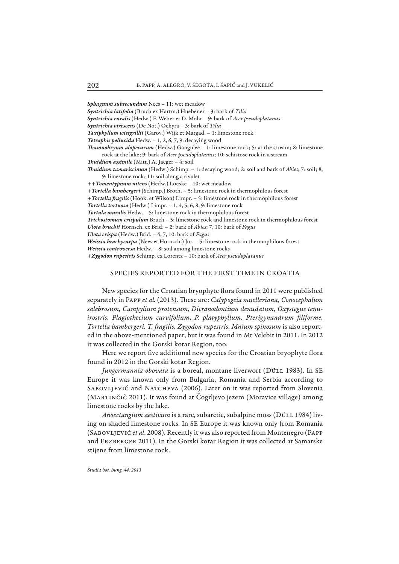*Sphagnum subsecundum* Nees – 11: wet meadow

*Syntrichia latifolia* (Bruch ex Hartm.) Huebener – 3: bark of *Tilia*

*Syntrichia ruralis* (Hedw.) F. Weber et D. Mohr – 9: bark of *Acer pseudoplatanus*

*Syntrichia virescens* (De Not.) Ochyra – 3: bark of *Tilia*

*Taxiphyllum wissgrillii* (Garov.) Wijk et Margad. – 1: limestone rock

*Tetraphis pellucida* Hedw. – 1, 2, 6, 7, 9: decaying wood

*Th amnobryum alopecurum* (Hedw.) Gangulee – 1: limestone rock; 5: at the stream; 8: limestone rock at the lake; 9: bark of *Acer pseudoplatanus*; 10: schistose rock in a stream

*Th uidium assimile* (Mitt.) A. Jaeger – 4: soil

*Th uidium tamariscinum* (Hedw.) Schimp. – 1: decaying wood; 2: soil and bark of *Abies*; 7: soil; 8, 9: limestone rock; 11: soil along a rivulet

*++Tomentypnum nitens* (Hedw.) Loeske – 10: wet meadow

*+Tortella bambergeri* (Schimp.) Broth. – 5: limestone rock in thermophilous forest

+ Tortella fragilis (Hook. et Wilson) Limpr. - 5: limestone rock in thermophilous forest

*Tortella tortuosa* (Hedw.) Limpr. – 1, 4, 5, 6, 8, 9: limestone rock

*Tortula muralis* Hedw. – 5: limestone rock in thermophilous forest

*Trichostomum crispulum* Bruch – 5: limestone rock and limestone rock in thermophilous forest

*Ulota bruchii* Hornsch. ex Brid. – 2: bark of *Abies*; 7, 10: bark of *Fagus*

*Ulota crispa* (Hedw.) Brid. – 4, 7, 10: bark of *Fagus*

*Weissia brachycarpa* (Nees et Hornsch.) Jur. – 5: limestone rock in thermophilous forest

*Weissia controversa* Hedw. – 8: soil among limestone rocks

*+Zygodon rupestris* Schimp. ex Lorentz – 10: bark of *Acer pseudoplatanus*

## SPECIES REPORTED FOR THE FIRST TIME IN CROATIA

New species for the Croatian bryophyte flora found in 2011 were published separately in PAPP et al. (2013). These are: *Calypogeia muelleriana*, *Conocephalum* salebrosum, Campylium protensum, Dicranodontium denudatum, Oxystegus tenu*irostris, Plagiothecium curvifolium*, *P. platyphyllum, Pte rigynandrum fi liforme, Tortella bambergeri, T. fr agilis, Zygodon rupestris*. *Mni um spinosum* is also reported in the above-mentioned paper, but it was found in Mt Velebit in 2011. In 2012 it was collected in the Gorski kotar Region, too.

Here we report five additional new species for the Croatian bryophyte flora found in 2012 in the Gorski kotar Region.

*Jungermannia obovata* is a boreal, montane liverwort (Düll 1983). In SE Europe it was known only from Bulgaria, Romania and Serbia according to SABOVLJEVIĆ and NATCHEVA (2006). Later on it was reported from Slovenia (Martinčič 2011). It was found at Čogrljevo jezero (Moravice village) among limestone rocks by the lake.

*Anoectangium aestivum* is a rare, subarctic, subalpine moss (DÜLL 1984) living on shaded limestone rocks. In SE Europe it was known only from Romania (Sabovljević *et al*. 2008). Recently it was also reported from Montenegro (Papp and ERZBERGER 2011). In the Gorski kotar Region it was collected at Samarske stijene from limestone rock.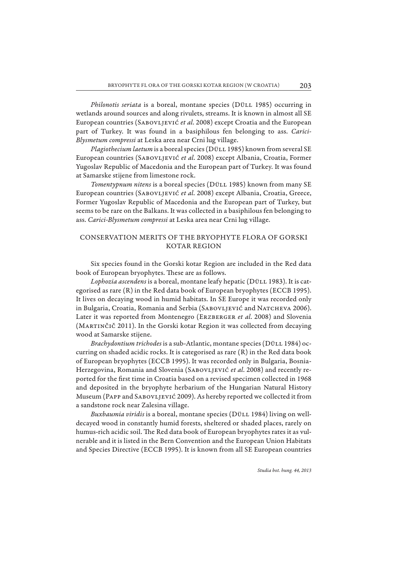*Philonotis seriata* is a boreal, montane species (DÜLL 1985) occurring in wetlands around sources and along rivulets, streams. It is known in almost all SE European countries (Sabovljević *et al*. 2008) except Croatia and the European part of Turkey. It was found in a basiphilous fen belonging to ass. *Carici-Blysmetum compressi* at Leska area near Crni lug village.

*Plagiothecium laetum* is a boreal species (DÜLL 1985) known from several SE European countries (Sabovljević *et al*. 2008) except Albania, Croatia, Former Yugoslav Republic of Macedonia and the European part of Turkey. It was found at Samarske stijene from limestone rock.

*Tomentypnum nitens* is a boreal species (DÜLL 1985) known from many SE European countries (Sabovljević *et al*. 2008) except Albania, Croatia, Greece, Former Yugoslav Republic of Macedonia and the European part of Turkey, but seems to be rare on the Balkans. It was collected in a basiphilous fen belonging to ass. *Carici-Blysmetum compressi* at Leska area near Crni lug village.

## CONSERVATION MERITS OF THE BRYOPHYTE FLORA OF GORSKI KOTAR REGION

Six species found in the Gorski kotar Region are included in the Red data book of European bryophytes. These are as follows.

Lophozia ascendens is a boreal, montane leafy hepatic (DÜLL 1983). It is categorised as rare (R) in the Red data book of European bryophytes (ECCB 1995). It lives on decaying wood in humid habitats. In SE Europe it was recorded only in Bulgaria, Croatia, Romania and Serbia (SABOVLJEVIĆ and NATCHEVA 2006). Later it was reported from Montenegro (Erzberger *et al*. 2008) and Slovenia (Martinčič 2011). In the Gorski kotar Region it was collected from decaying wood at Samarske stijene.

*Brachydontium trichodes* is a sub-Atlantic, montane species (DÜLL 1984) occurring on shaded acidic rocks. It is categorised as rare (R) in the Red data book of European bryophytes (ECCB 1995). It was recorded only in Bulgaria, Bosnia-Herzegovina, Romania and Slovenia (Sabovljević *et al*. 2008) and recently reported for the first time in Croatia based on a revised specimen collected in 1968 and deposited in the bryophyte herbarium of the Hungarian Natural History Museum (Papp and Sabovljević 2009). As hereby reported we collected it from a sandstone rock near Zalesina village.

*Buxbaumia viridis* is a boreal, montane species (Düll 1984) living on welldecayed wood in constantly humid forests, sheltered or shaded places, rarely on humus-rich acidic soil. The Red data book of European bryophytes rates it as vulnerable and it is listed in the Bern Convention and the European Union Habitats and Species Directive (ECCB 1995). It is known from all SE European countries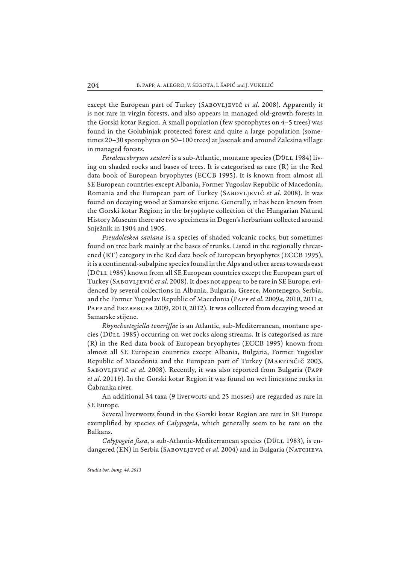except the European part of Turkey (SABOVLJEVIĆ *et al.* 2008). Apparently it is not rare in virgin forests, and also appears in managed old-growth forests in the Gorski kotar Region. A small population (few sporophytes on 4–5 trees) was found in the Golubinjak protected forest and quite a large population (sometimes 20–30 sporophytes on 50–100 trees) at Jasenak and around Zalesina village in managed forests.

Paraleucobryum sauteri is a sub-Atlantic, montane species (DÜLL 1984) living on shaded rocks and bases of trees. It is categorised as rare (R) in the Red data book of European bryophytes (ECCB 1995). It is known from almost all SE European countries except Albania, Former Yugoslav Republic of Macedonia, Romania and the European part of Turkey (SABOVLJEVIĆ *et al.* 2008). It was found on decaying wood at Samarske stijene. Generally, it has been known from the Gorski kotar Region; in the bryophyte collection of the Hungarian Natural History Museum there are two specimens in Degen's herbarium collected around Snježnik in 1904 and 1905.

*Pseudoleskea saviana* is a species of shaded volcanic rocks, but sometimes found on tree bark mainly at the bases of trunks. Listed in the regionally threatened (RT) category in the Red data book of European bryophytes (ECCB 1995), it is a continental-subalpine species found in the Alps and other areas towards east (Düll 1985) known from all SE European countries except the European part of Turkey (Sabovljević *et al*. 2008). It does not appear to be rare in SE Europe, evidenced by several collections in Albania, Bulgaria, Greece, Montenegro, Serbia, and the Former Yugoslav Republic of Macedonia (Papp *et al*. 2009*a*, 2010, 2011*a*, PAPP and ERZBERGER 2009, 2010, 2012). It was collected from decaying wood at Samarske stijene.

*Rhynchostegiella teneriffae* is an Atlantic, sub-Mediterranean, montane species (Düll 1985) occurring on wet rocks along streams. It is categorised as rare (R) in the Red data book of European bryophytes (ECCB 1995) known from almost all SE European countries except Albania, Bulgaria, Former Yugoslav Republic of Macedonia and the European part of Turkey (MARTINČIČ 2003, Sabovljević *et al*. 2008). Recently, it was also reported from Bulgaria (Papp *et al*. 2011*b*). In the Gorski kotar Region it was found on wet limestone rocks in Čabranka river.

An additional 34 taxa (9 liverworts and 25 mosses) are regarded as rare in SE Europe.

Several liverworts found in the Gorski kotar Region are rare in SE Europe exemplified by species of *Calypogeia*, which generally seem to be rare on the Balkans.

Calypogeia fissa, a sub-Atlantic-Mediterranean species (DÜLL 1983), is endangered (EN) in Serbia (SABOVLJEVIĆ et al. 2004) and in Bulgaria (NATCHEVA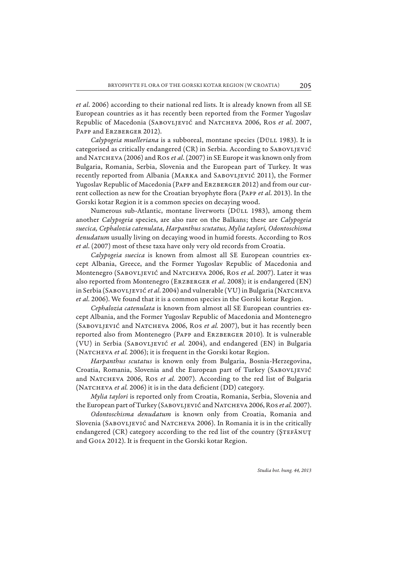*et al*. 2006) according to their national red lists. It is already known from all SE European countries as it has recently been reported from the Former Yugoslav Republic of Macedonia (Sabovljević and Natcheva 2006, Ros *et al*. 2007, PAPP and ERZBERGER 2012).

*Calypogeia muelleriana* is a subboreal, montane species (Düll 1983). It is categorised as critically endangered (CR) in Serbia. According to SABOVLJEVIĆ and Natcheva (2006) and Ros *et al*. (2007) in SE Europe it was known only from Bulgaria, Romania, Serbia, Slovenia and the European part of Turkey. It was recently reported from Albania (MARKA and SABOVLJEVIĆ 2011), the Former Yugoslav Republic of Macedonia (Papp and Erzberger 2012) and from our current collection as new for the Croatian bryophyte flora (PAPP *et al.* 2013). In the Gorski kotar Region it is a common species on decaying wood.

Numerous sub-Atlantic, montane liverworts (DÜLL 1983), among them another *Calypogeia* species, are also rare on the Balkans; these are *Calypogeia suecica, Cephalozia catenulata, Harpanthus scutatus, Mylia taylori, Odontoschisma denudatum* usually living on decaying wood in humid forests. According to Ros *et al*. (2007) most of these taxa have only very old records from Croatia.

*Calypogeia suecica* is known from almost all SE European countries except Albania, Greece, and the Former Yugoslav Republic of Macedonia and Montenegro (Sabovljević and Natcheva 2006, Ros *et al*. 2007). Later it was also reported from Montenegro (Erzberger *et al*. 2008); it is endangered (EN) in Serbia (Sabovljević *et al*. 2004) and vulnerable (VU) in Bulgaria (Natcheva *et al*. 2006). We found that it is a common species in the Gorski kotar Region.

*Cephalozia catenulata* is known from almost all SE European countries except Albania, and the Former Yugoslav Republic of Macedonia and Montenegro (Sabovljević and Natcheva 2006, Ros *et al.* 2007), but it has recently been reported also from Montenegro (Papp and Erzberger 2010)*.* It is vulnerable (VU) in Serbia (Sabovljević *et al.* 2004), and endangered (EN) in Bulgaria (NATCHEVA et al. 2006); it is frequent in the Gorski kotar Region.

*Harpanthus scutatus* is known only from Bulgaria, Bosnia-Herzegovina, Croatia, Romania, Slovenia and the European part of Turkey (SABOVLJEVIĆ and NATCHEVA 2006, Ros et al. 2007). According to the red list of Bulgaria (NATCHEVA *et al.* 2006) it is in the data deficient (DD) category.

*Mylia taylori* is reported only from Croatia, Romania, Serbia, Slovenia and the European part of Turkey (SABOVLJEVIĆ and NATCHEVA 2006, Ros *et al.* 2007).

*Odontoschisma denudatum* is known only from Croatia, Romania and Slovenia (SABOVLJEVIĆ and NATCHEVA 2006). In Romania it is in the critically endangered (CR) category according to the red list of the country (STEFĂNUT and Goia 2012). It is frequent in the Gorski kotar Region.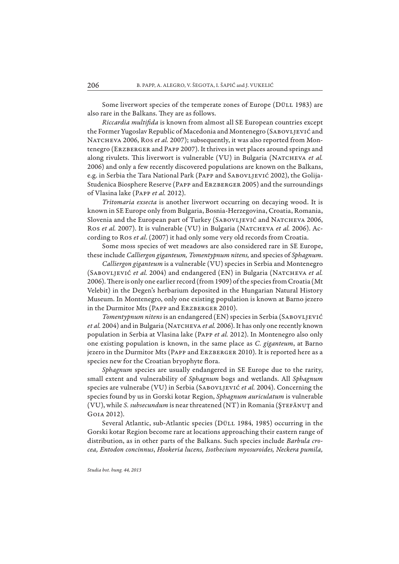Some liverwort species of the temperate zones of Europe (Düll 1983) are also rare in the Balkans. They are as follows.

*Riccardia multifida* is known from almost all SE European countries except the Former Yugoslav Republic of Macedonia and Montenegro (SABOVLJEVIĆ and NATCHEVA 2006, Ros et al. 2007); subsequently, it was also reported from Montenegro (ERZBERGER and PAPP 2007). It thrives in wet places around springs and along rivulets. This liverwort is vulnerable (VU) in Bulgaria (NATCHEVA *et al.* 2006) and only a few recently discovered populations are known on the Balkans, e.g. in Serbia the Tara National Park (PAPP and SABOVLJEVIĆ 2002), the Golija-Studenica Biosphere Reserve (Papp and Erzberger 2005) and the surroundings of Vlasina lake (Papp *et al.* 2012).

*Tritomaria exsecta* is another liverwort occurring on decaying wood. It is known in SE Europe only from Bulgaria, Bosnia-Herzegovina, Croatia, Romania, Slovenia and the European part of Turkey (SABOVLJEVIĆ and NATCHEVA 2006, Ros et al. 2007). It is vulnerable (VU) in Bulgaria (NATCHEVA et al. 2006). According to Ros *et al*. (2007) it had only some very old records from Croatia.

Some moss species of wet meadows are also considered rare in SE Europe, these include *Calliergon giganteum, Tomentypnum nitens*, and species of *Sphagnum*.

*Calliergon giganteum* is a vulnerable (VU) species in Serbia and Montenegro (SABOVLJEVIĆ et al. 2004) and endangered (EN) in Bulgaria (NATCHEVA et al. 2006). There is only one earlier record (from 1909) of the species from Croatia (Mt Velebit) in the Degen's herbarium deposited in the Hungarian Natural History Museum. In Montenegro, only one existing population is known at Barno jezero in the Durmitor Mts (Papp and Erzberger 2010).

*Tomentypnum nitens* is an endangered (EN) species in Serbia (Sabovljević *et al.* 2004) and in Bulgaria (NATCHEVA *et al.* 2006). It has only one recently known population in Serbia at Vlasina lake (Papp *et al.* 2012). In Montenegro also only one existing population is known, in the same place as *C. giganteum*, at Barno jezero in the Durmitor Mts (Papp and Erzberger 2010). It is reported here as a species new for the Croatian bryophyte flora.

*Sphagnum* species are usually endangered in SE Europe due to the rarity, small extent and vulnerability of *Sphagnum* bogs and wetlands. All *Sphagnum* species are vulnerabe (VU) in Serbia (SABOVLJEVIĆ et al. 2004). Concerning the species found by us in Gorski kotar Region, *Sphagnum auriculatum* is vulnerable (VU), while *S. subsecundum* is near threatened (NT) in Romania (Ştefănuţ and Goia 2012).

Several Atlantic, sub-Atlantic species (DÜLL 1984, 1985) occurring in the Gorski kotar Region become rare at locations approaching their eastern range of distribution, as in other parts of the Balkans. Such species include *Barbula crocea, Entodon concinnus*, *Hookeria lucens, Isothecium myosuroides, Neckera pumila,*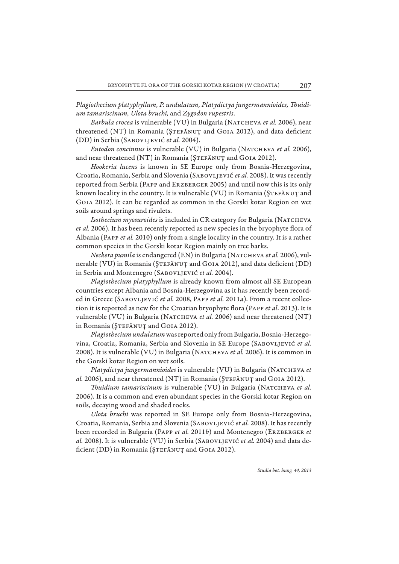Plagiothecium platyphyllum, P. undulatum, Platydictya jungermannioides, Thuidi*um tamariscinum, Ulota bruchi,* and *Zygodon rupestris*.

*Barbula crocea* is vulnerable (VU) in Bulgaria (NATCHEVA *et al.* 2006), near threatened (NT) in Romania (ŞTEFĂNUȚ and GOIA 2012), and data deficient (DD) in Serbia (Sabovljević *et al.* 2004).

*Entodon concinnus* is vulnerable (VU) in Bulgaria (NATCHEVA et al. 2006), and near threatened (NT) in Romania (STEFĂNUȚ and GOIA 2012).

*Hookeria lucens* is known in SE Europe only from Bosnia-Herzegovina, Croatia, Romania, Serbia and Slovenia (Sabovljević *et al.* 2008). It was recently reported from Serbia (Papp and Erzberger 2005) and until now this is its only known locality in the country. It is vulnerable (VU) in Romania (STEFĂNUȚ and Goia 2012). It can be regarded as common in the Gorski kotar Region on wet soils around springs and rivulets.

*Isothecium myosuroides* is included in CR category for Bulgaria (NATCHEVA *et al.* 2006). It has been recently reported as new species in the bryophyte flora of Albania (Papp *et al.* 2010) only from a single locality in the country. It is a rather common species in the Gorski kotar Region mainly on tree barks.

*Neckera pumila* is endangered (EN) in Bulgaria (NATCHEVA *et al.* 2006), vulnerable (VU) in Romania (ŞTEFĂNUȚ and GOIA 2012), and data deficient (DD) in Serbia and Montenegro (Sabovljević *et al.* 2004).

*Plagiothecium platyphyllum* is already known from almost all SE European countries except Albania and Bosnia-Herzegovina as it has recently been recorded in Greece (Sabovljević *et al.* 2008, Papp *et al.* 2011*a*). From a recent collection it is reported as new for the Croatian bryophyte flora (PAPP et al. 2013). It is vulnerable (VU) in Bulgaria (Natcheva *et al.* 2006) and near threatened (NT) in Romania (ŞTEFĂNUȚ and GOIA 2012).

*Plagiothecium undulatum* was reported only from Bulgaria, Bosnia-Herzegovina, Croatia, Romania, Serbia and Slovenia in SE Europe (Sabovljević *et al.* 2008). It is vulnerable (VU) in Bulgaria (NATCHEVA et al. 2006). It is common in the Gorski kotar Region on wet soils.

*Platydictya jungermannioides* is vulnerable (VU) in Bulgaria (NATCHEVA et al. 2006), and near threatened (NT) in Romania (ŞTEFĂNUȚ and GOIA 2012).

*Thuidium tamariscinum* is vulnerable (VU) in Bulgaria (NATCHEVA et al. 2006). It is a common and even abundant species in the Gorski kotar Region on soils, decaying wood and shaded rocks.

*Ulota bruchi* was reported in SE Europe only from Bosnia-Herzegovina, Croatia, Romania, Serbia and Slovenia (Sabovljević *et al.* 2008). It has recently been recorded in Bulgaria (Papp *et al.* 2011*b*) and Montenegro (Erzberger *et al.* 2008). It is vulnerable (VU) in Serbia (Sabovljević *et al.* 2004) and data deficient (DD) in Romania (ŞTEFĂNUȚ and GOIA 2012).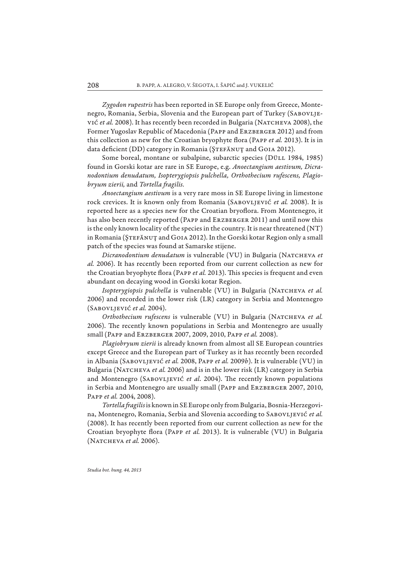*Zygodon rupestris* has been reported in SE Europe only from Greece, Montenegro, Romania, Serbia, Slovenia and the European part of Turkey (SABOVLJEvić et al. 2008). It has recently been recorded in Bulgaria (NATCHEVA 2008), the Former Yugoslav Republic of Macedonia (PAPP and ERZBERGER 2012) and from this collection as new for the Croatian bryophyte flora (PAPP et al. 2013). It is in data deficient (DD) category in Romania (ȘTEFĂNUȚ and GOIA 2012).

Some boreal, montane or subalpine, subarctic species (DÜLL 1984, 1985) found in Gorski kotar are rare in SE Europe, e.g. *Anoectangium aestivum, Dicranodontium denudatum, Isopterygiopsis pulchella, Orthothecium rufescens, Plagio* $b$ ryum zierii, and *Tortella fragilis.* 

*Anoectangium aestivum* is a very rare moss in SE Europe living in limestone rock crevices. It is known only from Romania (SABOVLJEVIĆ et al. 2008). It is reported here as a species new for the Croatian bryoflora. From Montenegro, it has also been recently reported (PAPP and ERZBERGER 2011) and until now this is the only known locality of the species in the country. It is near threatened (NT) in Romania (ȘTEFĂNUȚ and GOIA 2012). In the Gorski kotar Region only a small patch of the species was found at Samarske stijene.

*Dicranodontium denudatum* is vulnerable (VU) in Bulgaria (NATCHEVA et *al.* 2006). It has recently been reported from our current collection as new for the Croatian bryophyte flora (PAPP et al. 2013). This species is frequent and even abundant on decaying wood in Gorski kotar Region.

*Isopterygiopsis pulchella* is vulnerable (VU) in Bulgaria (NATCHEVA *et al.* 2006) and recorded in the lower risk (LR) category in Serbia and Montenegro (Sabovljević *et al.* 2004).

*Orthothecium rufescens* is vulnerable (VU) in Bulgaria (NATCHEVA et al. 2006). The recently known populations in Serbia and Montenegro are usually small (Papp and Erzberger 2007, 2009, 2010, Papp *et al.* 2008).

*Plagiobryum zierii* is already known from almost all SE European countries except Greece and the European part of Turkey as it has recently been recorded in Albania (Sabovljević *et al.* 2008, Papp *et al.* 2009*b*). It is vulnerable (VU) in Bulgaria (NATCHEVA *et al.* 2006) and is in the lower risk (LR) category in Serbia and Montenegro (SABOVLJEVIĆ et al. 2004). The recently known populations in Serbia and Montenegro are usually small (Papp and Erzberger 2007, 2010, Papp *et al.* 2004, 2008).

*Tortella fr agilis* is known in SE Europe only from Bulgaria, Bosnia-Herzegovina, Montenegro, Romania, Serbia and Slovenia according to Sabovljević *et al.* (2008). It has recently been reported from our current collection as new for the Croatian bryophyte flora (PAPP *et al.* 2013). It is vulnerable (VU) in Bulgaria (Natcheva *et al.* 2006).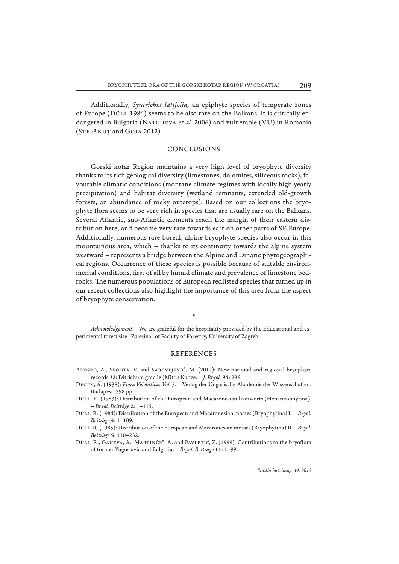Additionally, *Syntrichia latifolia,* an epiphyte species of temperate zones of Europe (Düll 1984) seems to be also rare on the Balkans. It is critically endangered in Bulgaria (NATCHEVA et al. 2006) and vulnerable (VU) in Romania (STEFĂNUȚ and GOIA 2012).

### CONCLUSIONS

Gorski kotar Region maintains a very high level of bryophyte diversity thanks to its rich geological diversity (limestones, dolomites, siliceous rocks), favourable climatic conditions (montane climate regimes with locally high yearly precipitation) and habitat diversity (wetland remnants, extended old-growth forests, an abundance of rocky outcrops). Based on our collections the bryophyte flora seems to be very rich in species that are usually rare on the Balkans. Several Atlantic, sub-Atlantic elements reach the margin of their eastern distribution here, and become very rare towards east on other parts of SE Europe. Additionally, numerous rare boreal, alpine bryophyte species also occur in this mountainous area, which – thanks to its continuity towards the alpine system westward – represents a bridge between the Alpine and Dinaric phytogeographical regions. Occurrence of these species is possible because of suitable environmental conditions, first of all by humid climate and prevalence of limestone bedrocks. The numerous populations of European redlisted species that turned up in our recent collections also highlight the importance of this area from the aspect of bryophyte conservation.

*Acknowledgement* – We are grateful for the hospitality provided by the Educational and experimental forest site "Zalesina" of Faculty of Forestry, University of Zagreb.

\*

### REFERENCES

- Alegro, A., Šegota, V. and Sabovljević, M. (2012): New national and regional bryophyte records 32: Ditrichum gracile (Mitt.) Kunze. – *J. Bryol.* **34**: 236.
- DEGEN, Á. (1938): *Flora Velebitica. Vol. 3.* Verlag der Ungarische Akademie der Wissenschaften. Budapest, 598 pp.
- Düll, R. (1983): Distribution of the European and Macaronesian liverworts (Hepaticophytina). – *Bryol. Beiträge* **2**: 1–115.
- Düll, R. (1984): Distribution of the European and Macaronesian mosses (Bryophytina) I. *Bryol. Beiträge* **4**: 1–109.
- Düll, R. (1985): Distribution of the European and Macaronesian mosses (Bryophytina) II. –*Bryol. Beiträge* **5**: 110–232.
- DÜLL, R., GANEVA, A., MARTINČIČ, A. and PAVLETIĆ, Z. (1999): Contributions to the bryoflora of former Yugoslavia and Bulgaria. – *Bryol. Beiträge* **11**: 1–99.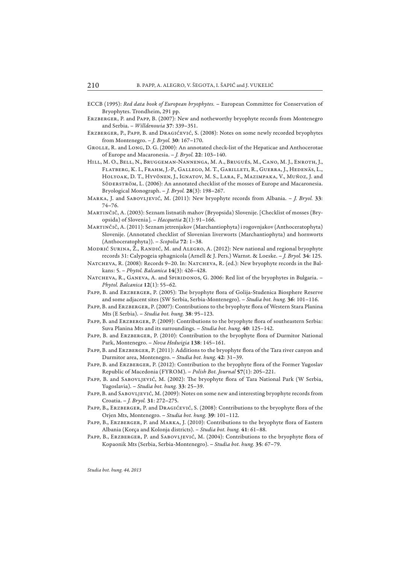- ECCB (1995): *Red data book of European bryophytes.* European Committee for Conservation of Bryophytes. Trondheim, 291 pp.
- ERZBERGER, P. and PAPP, B. (2007): New and notheworthy bryophyte records from Montenegro and Serbia. – *Willdenowia* **37**: 339–351.
- Erzberger, P., Papp, B. and Dragićević, S. (2008): Notes on some newly recorded bryophytes from Montenegro. – *J. Bryol.* **30**: 167–170.
- GROLLE, R. and LONG, D. G. (2000): An annotated check-list of the Hepaticae and Anthocerotae of Europe and Macaronesia. – *J. Bryol.* **22**: 103–140.
- Hill, M. O., Bell, N., Bruggeman-Nannenga, M. A., Brugués, M., Cano, M. J., Enroth, J., Flatberg, K. I., Frahm, J.-P., Gallego, M. T., Garilleti, R., Guerra, J., Hedenäs, L., Holyoak, D. T., Hyvönen, J., Ignatov, M. S., Lara, F., Mazimpaka, V., Muñoz, J. and SÖDERSTRÖM, L. (2006): An annotated checklist of the mosses of Europe and Macaronesia. Bryological Monograph. – *J. Bryol.* **28**(3): 198–267.
- Marka, J. and Sabovljević, M. (2011): New bryophyte records from Albania. *J. Bryol.* **33**: 74–76.
- Martinčič, A. (2003): Seznam listnatih mahov (Bryopsida) Slovenije. [Checklist of mosses (Bryop sida) of Slovenia]. – *Hacquetia* **2**(1): 91–166.
- Martinčič, A. (2011): Seznam jetrenjakov (Marchantiophyta) i rogovnjakov (Anthocerato phyta) Slovenije. (Annotated checklist of Slovenian liverworts (Marchantiophyta) and hornworts (Anthoceratophyta)). – *Scopolia* **72**: 1–38.
- Modrić Surina, Ž., Randić, M. and Alegro, A. (2012): New national and regional bryophyte records 31: Calypogeia sphagnicola (Arnell & J. Pers.) Warnst. & Loeske. – *J. Bryol.* **34**: 125.
- NATCHEVA, R. (2008): Records 9–20. In: NATCHEVA, R. (ed.): New bryophyte records in the Balkans: 5. – *Phytol. Balcanica* **14**(3): 426–428.
- NATCHEVA, R., GANEVA, A. and SPIRIDONOS, G. 2006: Red list of the bryophytes in Bulgaria. -*Phytol. Balcanica* **12**(1): 55–62.
- PAPP, B. and ERZBERGER, P. (2005): The bryophyte flora of Golija-Studenica Biosphere Reserve and some adjacent sites (SW Serbia, Serbia-Montenegro). – *Studia bot. hung.* **36**: 101–116.
- PAPP, B. and ERZBERGER, P. (2007): Contributions to the bryophyte flora of Western Stara Planina Mts (E Serbia). – *Studia bot. hung.* **38**: 95–123.
- PAPP, B. and ERZBERGER, P. (2009): Contributions to the bryophyte flora of southeastern Serbia: Suva Planina Mts and its surroundings. – *Studia bot. hung.* **40**: 125–142.
- PAPP, B. and ERZBERGER, P. (2010): Contribution to the bryophyte flora of Durmitor National Park, Montenegro. – *Nova Hedwigia* **138**: 145–161.
- PAPP, B. and ERZBERGER, P. (2011): Additions to the bryophyte flora of the Tara river canyon and Durmitor area, Montenegro. – *Studia bot. hung.* **42**: 31–39.
- PAPP, B. and ERZBERGER, P. (2012): Contribution to the bryophyte flora of the Former Yugoslav Republic of Macedonia (FYROM). – *Polish Bot. Journal* **57**(1): 205–221.
- PAPP, B. and SABOVLJEVIĆ, M. (2002): The bryophyte flora of Tara National Park (W Serbia, Yugosla via). – *Studia bot. hung.* **33**: 25–39.
- Papp, B. and Sabovljević, M. (2009): Notes on some new and interesting bryophyte records from Croatia. – *J. Bryol.* **31**: 272–275.
- PAPP, B., ERZBERGER, P. and DRAGIĆEVIĆ, S. (2008): Contributions to the bryophyte flora of the Orjen Mts, Montenegro. – *Studia bot. hung.* **39**: 101–112.
- PAPP, B., ERZBERGER, P. and MARKA, J. (2010): Contributions to the bryophyte flora of Eastern Albania (Korça and Kolonja districts). – *Studia bot. hung.* **41**: 61–88.
- PAPP, B., ERZBERGER, P. and SABOVLJEVIĆ, M. (2004): Contributions to the bryophyte flora of Kopaonik Mts (Serbia, Serbia-Montenegro). – *Studia bot. hung.* **35**: 67–79.